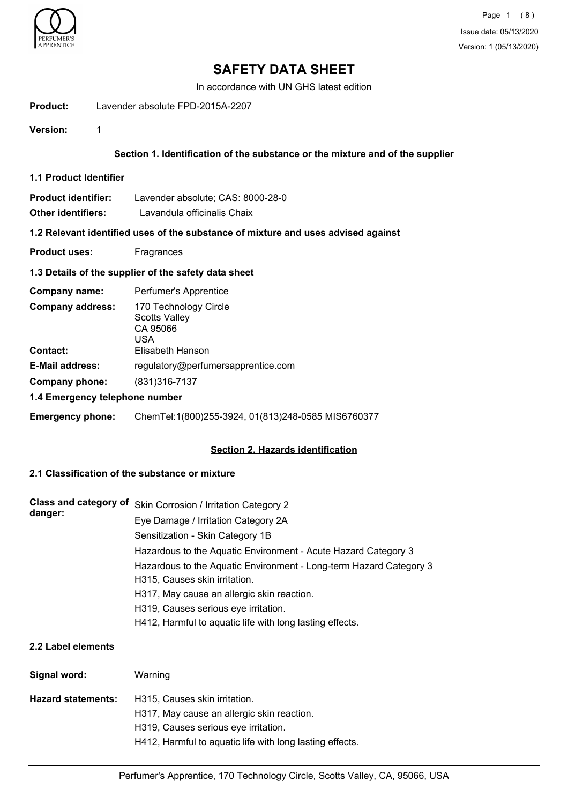

In accordance with UN GHS latest edition

**Product:** Lavender absolute FPD-2015A-2207

**Version:** 1

### **Section 1. Identification of the substance or the mixture and of the supplier**

**1.1 Product Identifier**

| <b>Product identifier:</b> | Lavender absolute; CAS: 8000-28-0 |
|----------------------------|-----------------------------------|
| Other identifiers:         | Lavandula officinalis Chaix       |

#### **1.2 Relevant identified uses of the substance of mixture and uses advised against**

**Product uses:** Fragrances

#### **1.3 Details of the supplier of the safety data sheet**

| Company name:                  | Perfumer's Apprentice                                            |  |
|--------------------------------|------------------------------------------------------------------|--|
| <b>Company address:</b>        | 170 Technology Circle<br><b>Scotts Valley</b><br>CA 95066<br>USA |  |
| <b>Contact:</b>                | Elisabeth Hanson                                                 |  |
| <b>E-Mail address:</b>         | regulatory@perfumersapprentice.com                               |  |
| Company phone:                 | (831) 316-7137                                                   |  |
| 1.4 Emergency telephone number |                                                                  |  |

**Emergency phone:** ChemTel:1(800)255-3924, 01(813)248-0585 MIS6760377

#### **Section 2. Hazards identification**

### **2.1 Classification of the substance or mixture**

| Class and category of | Skin Corrosion / Irritation Category 2                             |
|-----------------------|--------------------------------------------------------------------|
| danger:               | Eye Damage / Irritation Category 2A                                |
|                       | Sensitization - Skin Category 1B                                   |
|                       | Hazardous to the Aquatic Environment - Acute Hazard Category 3     |
|                       | Hazardous to the Aquatic Environment - Long-term Hazard Category 3 |
|                       | H315, Causes skin irritation.                                      |
|                       | H317, May cause an allergic skin reaction.                         |
|                       | H319, Causes serious eye irritation.                               |
|                       | H412, Harmful to aquatic life with long lasting effects.           |

#### **2.2 Label elements**

| Signal word:       | Warning                                                                                                                                                                         |
|--------------------|---------------------------------------------------------------------------------------------------------------------------------------------------------------------------------|
| Hazard statements: | H315, Causes skin irritation.<br>H317, May cause an allergic skin reaction.<br>H319, Causes serious eye irritation.<br>H412, Harmful to aquatic life with long lasting effects. |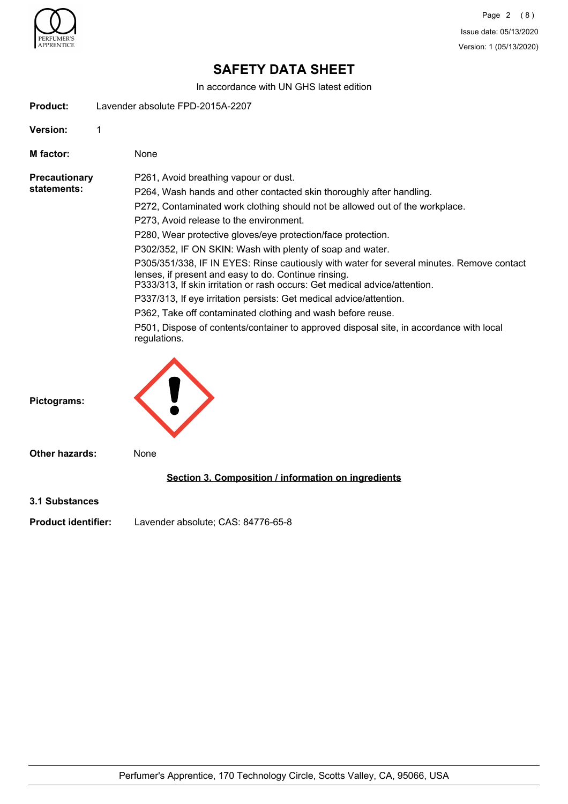

In accordance with UN GHS latest edition

| Product:                            | Lavender absolute FPD-2015A-2207                                                                                                                                                                                                                                                                                                                                                                                                                                                                                                                                                                                                                                                                                                                                                                                                                          |
|-------------------------------------|-----------------------------------------------------------------------------------------------------------------------------------------------------------------------------------------------------------------------------------------------------------------------------------------------------------------------------------------------------------------------------------------------------------------------------------------------------------------------------------------------------------------------------------------------------------------------------------------------------------------------------------------------------------------------------------------------------------------------------------------------------------------------------------------------------------------------------------------------------------|
| <b>Version:</b>                     | 1                                                                                                                                                                                                                                                                                                                                                                                                                                                                                                                                                                                                                                                                                                                                                                                                                                                         |
| M factor:                           | None                                                                                                                                                                                                                                                                                                                                                                                                                                                                                                                                                                                                                                                                                                                                                                                                                                                      |
| <b>Precautionary</b><br>statements: | P261, Avoid breathing vapour or dust.<br>P264, Wash hands and other contacted skin thoroughly after handling.<br>P272, Contaminated work clothing should not be allowed out of the workplace.<br>P273, Avoid release to the environment.<br>P280, Wear protective gloves/eye protection/face protection.<br>P302/352, IF ON SKIN: Wash with plenty of soap and water.<br>P305/351/338, IF IN EYES: Rinse cautiously with water for several minutes. Remove contact<br>lenses, if present and easy to do. Continue rinsing.<br>P333/313, If skin irritation or rash occurs: Get medical advice/attention.<br>P337/313, If eye irritation persists: Get medical advice/attention.<br>P362, Take off contaminated clothing and wash before reuse.<br>P501, Dispose of contents/container to approved disposal site, in accordance with local<br>regulations. |
| Pictograms:                         |                                                                                                                                                                                                                                                                                                                                                                                                                                                                                                                                                                                                                                                                                                                                                                                                                                                           |
| <b>Other hazards:</b>               | None                                                                                                                                                                                                                                                                                                                                                                                                                                                                                                                                                                                                                                                                                                                                                                                                                                                      |
|                                     | Section 3. Composition / information on ingredients                                                                                                                                                                                                                                                                                                                                                                                                                                                                                                                                                                                                                                                                                                                                                                                                       |
| <b>3.1 Substances</b>               |                                                                                                                                                                                                                                                                                                                                                                                                                                                                                                                                                                                                                                                                                                                                                                                                                                                           |
| <b>Product identifier:</b>          | Lavender absolute; CAS: 84776-65-8                                                                                                                                                                                                                                                                                                                                                                                                                                                                                                                                                                                                                                                                                                                                                                                                                        |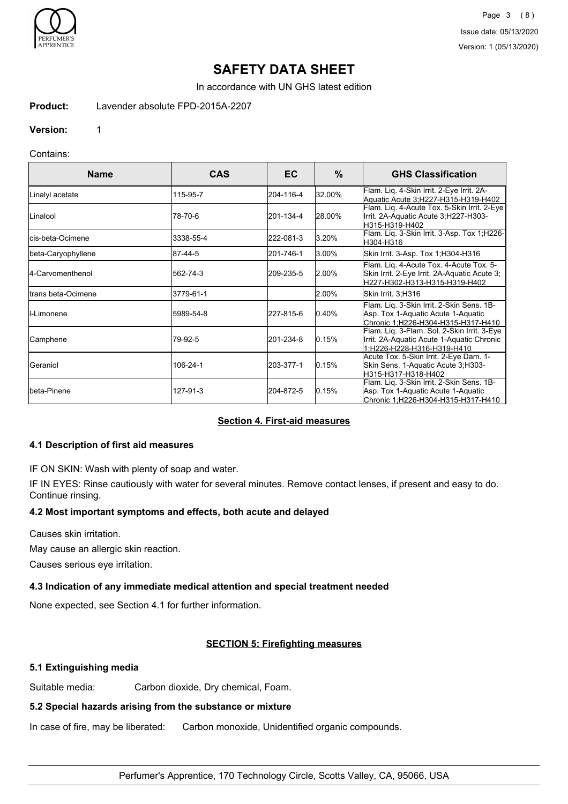

Page 3 (8) Issue date: 05/13/2020 Version: 1 (05/13/2020)

# **SAFETY DATA SHEET**

In accordance with UN GHS latest edition

#### **Product:** Lavender absolute FPD-2015A-2207

**Version:** 1

### Contains:

| <b>Name</b>               | <b>CAS</b> | EC.       | $\%$      | <b>GHS Classification</b>                                                                                                |
|---------------------------|------------|-----------|-----------|--------------------------------------------------------------------------------------------------------------------------|
| Linalyl acetate           | 115-95-7   | 204-116-4 | 32.00%    | Flam. Liq. 4-Skin Irrit. 2-Eye Irrit. 2A-<br>Aquatic Acute 3; H227-H315-H319-H402                                        |
| Linalool                  | 78-70-6    | 201-134-4 | 28.00%    | Flam. Lig. 4-Acute Tox. 5-Skin Irrit. 2-Eye<br>Irrit. 2A-Aquatic Acute 3, H227-H303-<br>H315-H319-H402                   |
| <b>I</b> cis-beta-Ocimene | 3338-55-4  | 222-081-3 | 3.20%     | Flam. Liq. 3-Skin Irrit. 3-Asp. Tox 1;H226-<br>H304-H316                                                                 |
| beta-Caryophyllene        | 87-44-5    | 201-746-1 | 3.00%     | Skin Irrit. 3-Asp. Tox 1;H304-H316                                                                                       |
| 4-Carvomenthenol          | 562-74-3   | 209-235-5 | $ 2.00\%$ | Flam. Lig. 4-Acute Tox. 4-Acute Tox. 5-<br>Skin Irrit. 2-Eye Irrit. 2A-Aquatic Acute 3;<br>H227-H302-H313-H315-H319-H402 |
| Itrans beta-Ocimene       | 3779-61-1  |           | l2.00%    | Skin Irrit. 3;H316                                                                                                       |
| <b>I</b> I-Limonene       | 5989-54-8  | 227-815-6 | $ 0.40\%$ | Flam. Liq. 3-Skin Irrit. 2-Skin Sens. 1B-<br>Asp. Tox 1-Aquatic Acute 1-Aquatic<br>Chronic 1:H226-H304-H315-H317-H410    |
| Camphene                  | 79-92-5    | 201-234-8 | 10.15%    | Flam. Lig. 3-Flam. Sol. 2-Skin Irrit. 3-Eye<br>Irrit. 2A-Aquatic Acute 1-Aquatic Chronic<br>1:H226-H228-H316-H319-H410   |
| IGeraniol                 | 106-24-1   | 203-377-1 | 0.15%     | Acute Tox. 5-Skin Irrit. 2-Eye Dam. 1-<br>Skin Sens. 1-Aquatic Acute 3, H303-<br>H315-H317-H318-H402                     |
| <b>I</b> beta-Pinene      | 127-91-3   | 204-872-5 | 0.15%     | Flam. Liq. 3-Skin Irrit. 2-Skin Sens. 1B-<br>Asp. Tox 1-Aquatic Acute 1-Aquatic<br>Chronic 1:H226-H304-H315-H317-H410    |

#### **Section 4. First-aid measures**

#### **4.1 Description of first aid measures**

IF ON SKIN: Wash with plenty of soap and water.

IF IN EYES: Rinse cautiously with water for several minutes. Remove contact lenses, if present and easy to do. Continue rinsing.

#### **4.2 Most important symptoms and effects, both acute and delayed**

Causes skin irritation.

May cause an allergic skin reaction.

Causes serious eye irritation.

## **4.3 Indication of any immediate medical attention and special treatment needed**

None expected, see Section 4.1 for further information.

## **SECTION 5: Firefighting measures**

## **5.1 Extinguishing media**

Suitable media: Carbon dioxide, Dry chemical, Foam.

## **5.2 Special hazards arising from the substance or mixture**

In case of fire, may be liberated: Carbon monoxide, Unidentified organic compounds.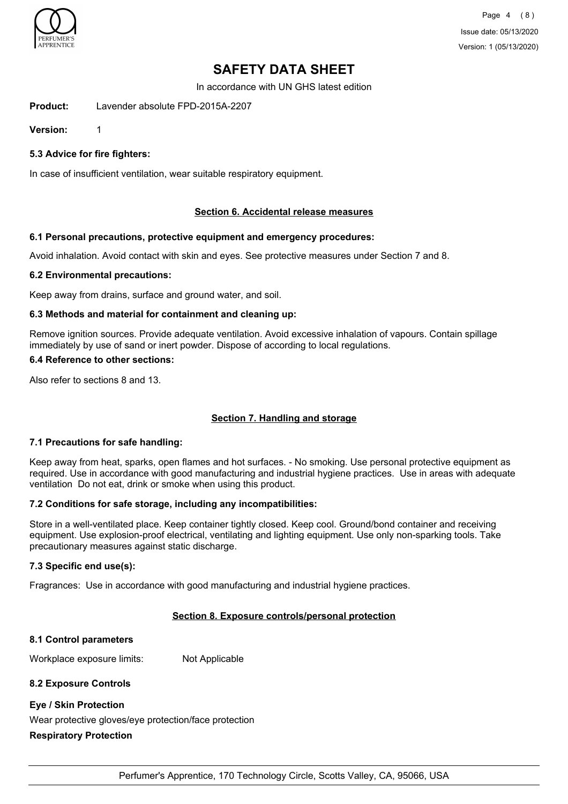

In accordance with UN GHS latest edition

**Product:** Lavender absolute FPD-2015A-2207

**Version:** 1

**5.3 Advice for fire fighters:**

In case of insufficient ventilation, wear suitable respiratory equipment.

#### **Section 6. Accidental release measures**

#### **6.1 Personal precautions, protective equipment and emergency procedures:**

Avoid inhalation. Avoid contact with skin and eyes. See protective measures under Section 7 and 8.

#### **6.2 Environmental precautions:**

Keep away from drains, surface and ground water, and soil.

#### **6.3 Methods and material for containment and cleaning up:**

Remove ignition sources. Provide adequate ventilation. Avoid excessive inhalation of vapours. Contain spillage immediately by use of sand or inert powder. Dispose of according to local regulations.

### **6.4 Reference to other sections:**

Also refer to sections 8 and 13.

### **Section 7. Handling and storage**

#### **7.1 Precautions for safe handling:**

Keep away from heat, sparks, open flames and hot surfaces. - No smoking. Use personal protective equipment as required. Use in accordance with good manufacturing and industrial hygiene practices. Use in areas with adequate ventilation Do not eat, drink or smoke when using this product.

#### **7.2 Conditions for safe storage, including any incompatibilities:**

Store in a well-ventilated place. Keep container tightly closed. Keep cool. Ground/bond container and receiving equipment. Use explosion-proof electrical, ventilating and lighting equipment. Use only non-sparking tools. Take precautionary measures against static discharge.

#### **7.3 Specific end use(s):**

Fragrances: Use in accordance with good manufacturing and industrial hygiene practices.

#### **Section 8. Exposure controls/personal protection**

#### **8.1 Control parameters**

Workplace exposure limits: Not Applicable

#### **8.2 Exposure Controls**

#### **Eye / Skin Protection**

Wear protective gloves/eye protection/face protection

#### **Respiratory Protection**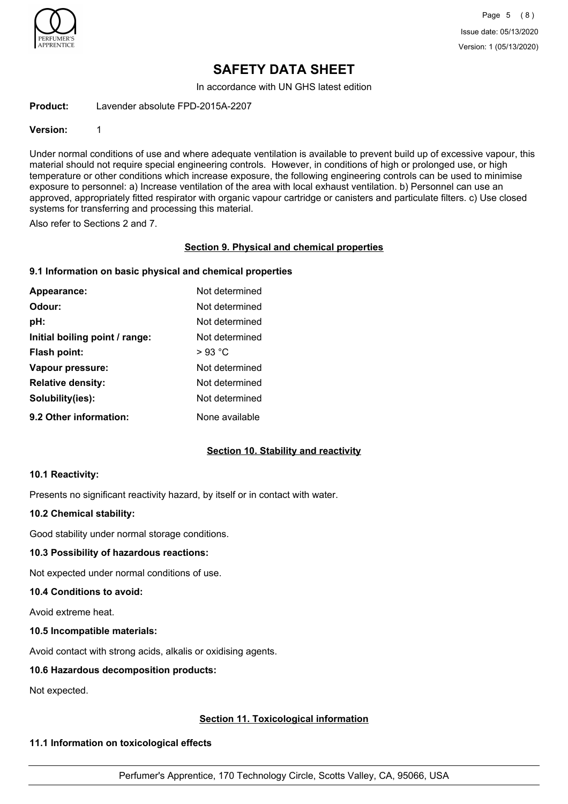

In accordance with UN GHS latest edition

**Product:** Lavender absolute FPD-2015A-2207

#### **Version:** 1

Under normal conditions of use and where adequate ventilation is available to prevent build up of excessive vapour, this material should not require special engineering controls. However, in conditions of high or prolonged use, or high temperature or other conditions which increase exposure, the following engineering controls can be used to minimise exposure to personnel: a) Increase ventilation of the area with local exhaust ventilation. b) Personnel can use an approved, appropriately fitted respirator with organic vapour cartridge or canisters and particulate filters. c) Use closed systems for transferring and processing this material.

Also refer to Sections 2 and 7.

#### **Section 9. Physical and chemical properties**

#### **9.1 Information on basic physical and chemical properties**

| Appearance:                    | Not determined  |
|--------------------------------|-----------------|
| Odour:                         | Not determined  |
| pH:                            | Not determined  |
| Initial boiling point / range: | Not determined  |
| <b>Flash point:</b>            | $>93\text{ °C}$ |
| Vapour pressure:               | Not determined  |
| <b>Relative density:</b>       | Not determined  |
| Solubility(ies):               | Not determined  |
| 9.2 Other information:         | None available  |

#### **Section 10. Stability and reactivity**

#### **10.1 Reactivity:**

Presents no significant reactivity hazard, by itself or in contact with water.

#### **10.2 Chemical stability:**

Good stability under normal storage conditions.

#### **10.3 Possibility of hazardous reactions:**

Not expected under normal conditions of use.

#### **10.4 Conditions to avoid:**

Avoid extreme heat.

#### **10.5 Incompatible materials:**

Avoid contact with strong acids, alkalis or oxidising agents.

#### **10.6 Hazardous decomposition products:**

Not expected.

#### **Section 11. Toxicological information**

#### **11.1 Information on toxicological effects**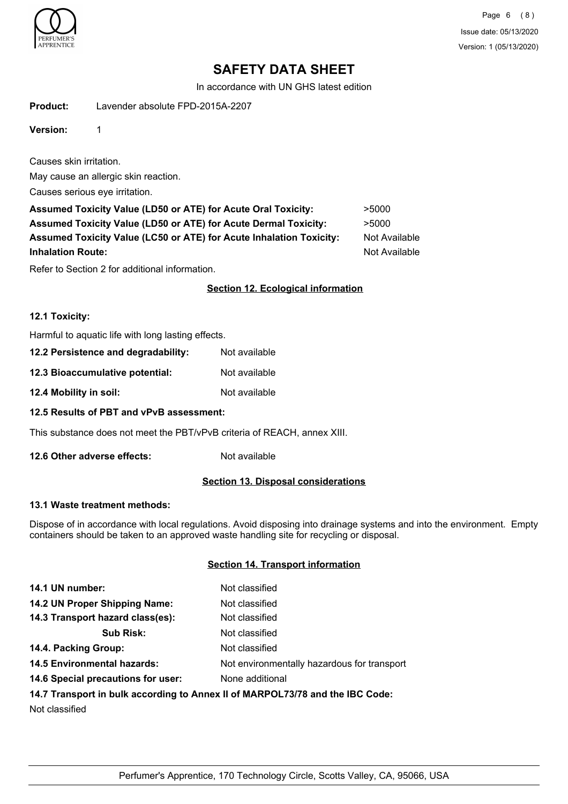

Page 6 (8) Issue date: 05/13/2020 Version: 1 (05/13/2020)

# **SAFETY DATA SHEET**

In accordance with UN GHS latest edition

**Product:** Lavender absolute FPD-2015A-2207

**Version:** 1

Causes skin irritation.

May cause an allergic skin reaction.

Causes serious eye irritation.

| <b>Assumed Toxicity Value (LD50 or ATE) for Acute Oral Toxicity:</b>   | >5000         |
|------------------------------------------------------------------------|---------------|
| <b>Assumed Toxicity Value (LD50 or ATE) for Acute Dermal Toxicity:</b> | >5000         |
| Assumed Toxicity Value (LC50 or ATE) for Acute Inhalation Toxicity:    | Not Available |
| <b>Inhalation Route:</b>                                               | Not Available |
|                                                                        |               |

Refer to Section 2 for additional information.

### **Section 12. Ecological information**

#### **12.1 Toxicity:**

Harmful to aquatic life with long lasting effects.

| 12.2 Persistence and degradability: | Not available |
|-------------------------------------|---------------|
| 12.3 Bioaccumulative potential:     | Not available |
| 12.4 Mobility in soil:              | Not available |

**12.5 Results of PBT and vPvB assessment:**

This substance does not meet the PBT/vPvB criteria of REACH, annex XIII.

**12.6 Other adverse effects:** Not available

#### **Section 13. Disposal considerations**

#### **13.1 Waste treatment methods:**

Dispose of in accordance with local regulations. Avoid disposing into drainage systems and into the environment. Empty containers should be taken to an approved waste handling site for recycling or disposal.

### **Section 14. Transport information**

| 14.1 UN number:                                                               | Not classified                              |  |
|-------------------------------------------------------------------------------|---------------------------------------------|--|
| 14.2 UN Proper Shipping Name:                                                 | Not classified                              |  |
| 14.3 Transport hazard class(es):                                              | Not classified                              |  |
| <b>Sub Risk:</b>                                                              | Not classified                              |  |
| 14.4. Packing Group:                                                          | Not classified                              |  |
| <b>14.5 Environmental hazards:</b>                                            | Not environmentally hazardous for transport |  |
| 14.6 Special precautions for user:                                            | None additional                             |  |
| 14.7 Transport in bulk according to Annex II of MARPOL73/78 and the IBC Code: |                                             |  |

Not classified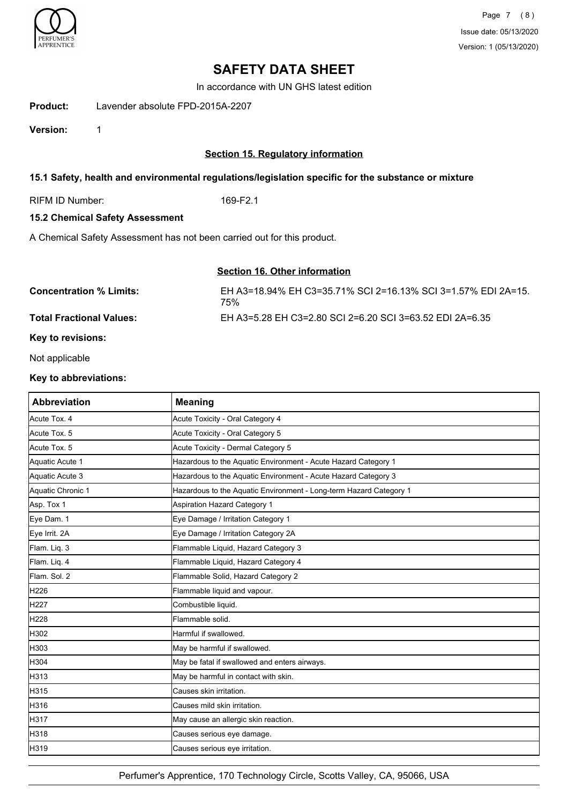

In accordance with UN GHS latest edition

**Product:** Lavender absolute FPD-2015A-2207

**Version:** 1

### **Section 15. Regulatory information**

### **15.1 Safety, health and environmental regulations/legislation specific for the substance or mixture**

RIFM ID Number: 169-F2.1

### **15.2 Chemical Safety Assessment**

A Chemical Safety Assessment has not been carried out for this product.

### **Section 16. Other information**

| <b>Concentration % Limits:</b>  | EH A3=18.94% EH C3=35.71% SCI 2=16.13% SCI 3=1.57% EDI 2A=15.<br>75% |
|---------------------------------|----------------------------------------------------------------------|
| <b>Total Fractional Values:</b> | EH A3=5.28 EH C3=2.80 SCI 2=6.20 SCI 3=63.52 EDI 2A=6.35             |

### **Key to revisions:**

Not applicable

#### **Key to abbreviations:**

| <b>Abbreviation</b> | <b>Meaning</b>                                                     |
|---------------------|--------------------------------------------------------------------|
| Acute Tox. 4        | Acute Toxicity - Oral Category 4                                   |
| Acute Tox. 5        | Acute Toxicity - Oral Category 5                                   |
| Acute Tox. 5        | Acute Toxicity - Dermal Category 5                                 |
| Aquatic Acute 1     | Hazardous to the Aquatic Environment - Acute Hazard Category 1     |
| Aquatic Acute 3     | Hazardous to the Aquatic Environment - Acute Hazard Category 3     |
| Aquatic Chronic 1   | Hazardous to the Aquatic Environment - Long-term Hazard Category 1 |
| Asp. Tox 1          | <b>Aspiration Hazard Category 1</b>                                |
| Eye Dam. 1          | Eye Damage / Irritation Category 1                                 |
| Eye Irrit. 2A       | Eye Damage / Irritation Category 2A                                |
| Flam. Liq. 3        | Flammable Liquid, Hazard Category 3                                |
| Flam. Liq. 4        | Flammable Liquid, Hazard Category 4                                |
| Flam. Sol. 2        | Flammable Solid, Hazard Category 2                                 |
| H226                | Flammable liquid and vapour.                                       |
| H <sub>227</sub>    | Combustible liquid.                                                |
| H228                | Flammable solid.                                                   |
| H302                | Harmful if swallowed.                                              |
| H303                | May be harmful if swallowed.                                       |
| H304                | May be fatal if swallowed and enters airways.                      |
| H313                | May be harmful in contact with skin.                               |
| H315                | Causes skin irritation.                                            |
| H316                | Causes mild skin irritation.                                       |
| H317                | May cause an allergic skin reaction.                               |
| H318                | Causes serious eye damage.                                         |
| H319                | Causes serious eye irritation.                                     |